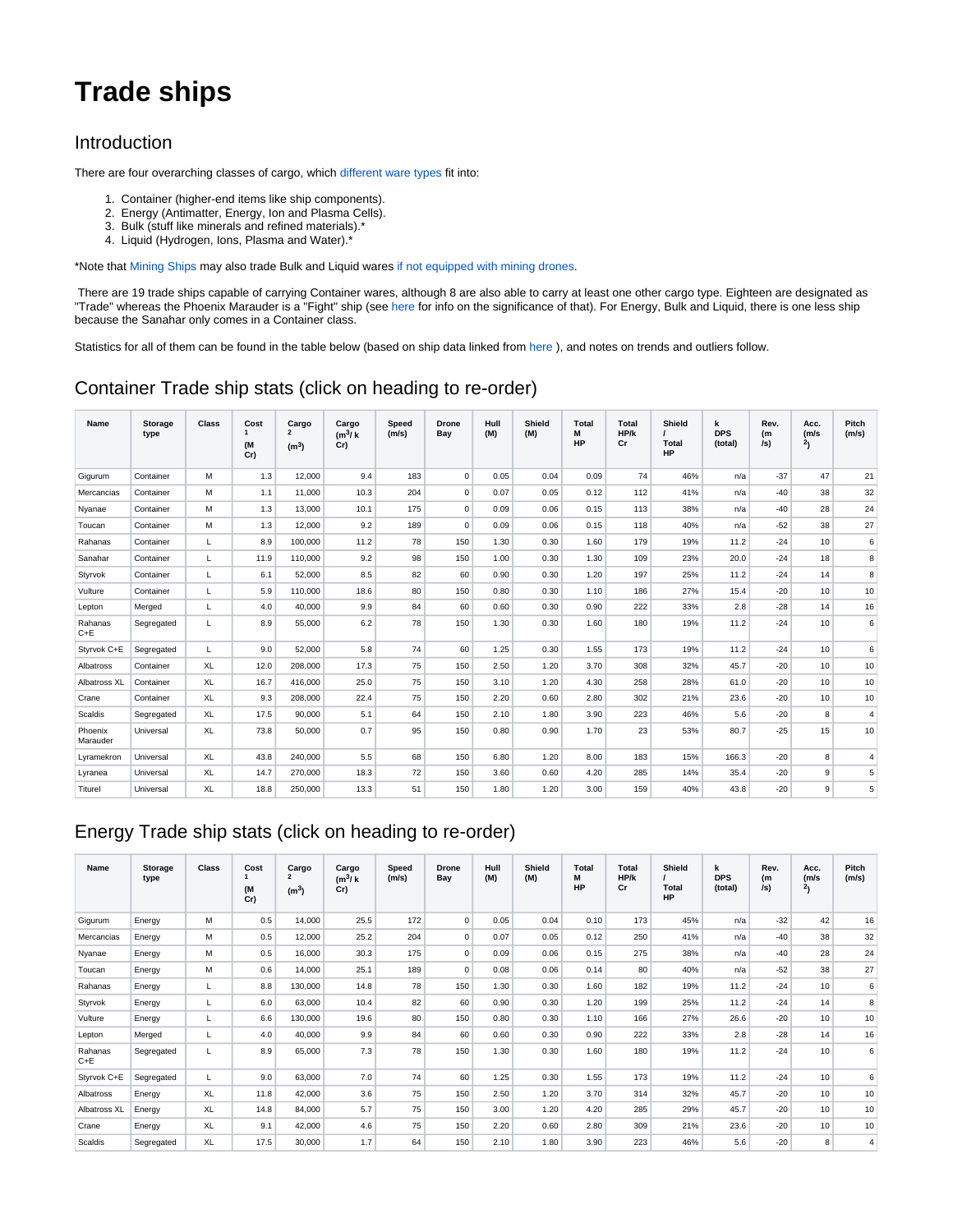# **Trade ships**

#### Introduction

There are four overarching classes of cargo, which [different ware types](https://www.egosoft.com:8444/confluence/display/XRWIKI/Trading+and+mining) fit into:

- 1. Container (higher-end items like ship components).
- 2. Energy (Antimatter, Energy, Ion and Plasma Cells).
- 3. Bulk (stuff like minerals and refined materials).\*
- 4. Liquid (Hydrogen, Ions, Plasma and Water).\*

\*Note that [Mining Ships](https://www.egosoft.com:8444/confluence/display/XRWIKI/Mine+ships) may also trade Bulk and Liquid wares [if not equipped with mining drones](https://www.egosoft.com:8444/confluence/display/XRWIKI/Stations).

There are 19 trade ships capable of carrying Container wares, although 8 are also able to carry at least one other cargo type. Eighteen are designated as "Trade" whereas the Phoenix Marauder is a "Fight" ship (see [here](https://www.egosoft.com:8444/confluence/display/XRWIKI/Reputation+in+TTO+DLC) for info on the significance of that). For Energy, Bulk and Liquid, there is one less ship because the Sanahar only comes in a Container class.

Statistics for all of them can be found in the table below (based on ship data linked from [here](https://www.egosoft.com:8444/confluence/pages/viewpage.action?pageId=38699155) ), and notes on trends and outliers follow.

#### Container Trade ship stats (click on heading to re-order)

| Name                | <b>Storage</b><br>type | <b>Class</b> | Cost<br>$\mathbf{1}$<br>(M<br>Cr) | Cargo<br>$\overline{2}$<br>(m <sup>3</sup> ) | Cargo<br>$(m^3)$ k<br>Cr) | <b>Speed</b><br>(m/s) | <b>Drone</b><br>Bay | Hull<br>(M) | Shield<br>(M) | <b>Total</b><br>М<br>HP | <b>Total</b><br>HP/k<br>Cr | Shield<br><b>Total</b><br>HP | k<br><b>DPS</b><br>(total) | Rev.<br>(m<br>$ s\rangle$ | Acc.<br>(m/s)<br>2 <sub>1</sub> | Pitch<br>(m/s) |
|---------------------|------------------------|--------------|-----------------------------------|----------------------------------------------|---------------------------|-----------------------|---------------------|-------------|---------------|-------------------------|----------------------------|------------------------------|----------------------------|---------------------------|---------------------------------|----------------|
| Gigurum             | Container              | M            | 1.3                               | 12,000                                       | 9.4                       | 183                   | $\mathbf 0$         | 0.05        | 0.04          | 0.09                    | 74                         | 46%                          | n/a                        | $-37$                     | 47                              | 21             |
| Mercancias          | Container              | м            | 1.1                               | 11.000                                       | 10.3                      | 204                   | $\mathbf 0$         | 0.07        | 0.05          | 0.12                    | 112                        | 41%                          | n/a                        | $-40$                     | 38                              | 32             |
| Nyanae              | Container              | м            | 1.3                               | 13,000                                       | 10.1                      | 175                   | $\mathbf 0$         | 0.09        | 0.06          | 0.15                    | 113                        | 38%                          | n/a                        | $-40$                     | 28                              | 24             |
| Toucan              | Container              | м            | 1.3                               | 12,000                                       | 9.2                       | 189                   | $\mathbf 0$         | 0.09        | 0.06          | 0.15                    | 118                        | 40%                          | n/a                        | $-52$                     | 38                              | 27             |
| Rahanas             | Container              | L            | 8.9                               | 100.000                                      | 11.2                      | 78                    | 150                 | 1.30        | 0.30          | 1.60                    | 179                        | 19%                          | 11.2                       | $-24$                     | 10                              | 6              |
| Sanahar             | Container              | L            | 11.9                              | 110.000                                      | 9.2                       | 98                    | 150                 | 1.00        | 0.30          | 1.30                    | 109                        | 23%                          | 20.0                       | $-24$                     | 18                              | 8              |
| Styrvok             | Container              | L            | 6.1                               | 52,000                                       | 8.5                       | 82                    | 60                  | 0.90        | 0.30          | 1.20                    | 197                        | 25%                          | 11.2                       | $-24$                     | 14                              | 8              |
| Vulture             | Container              | L            | 5.9                               | 110,000                                      | 18.6                      | 80                    | 150                 | 0.80        | 0.30          | 1.10                    | 186                        | 27%                          | 15.4                       | $-20$                     | 10                              | 10             |
| Lepton              | Merged                 | L            | 4.0                               | 40.000                                       | 9.9                       | 84                    | 60                  | 0.60        | 0.30          | 0.90                    | 222                        | 33%                          | 2.8                        | $-28$                     | 14                              | 16             |
| Rahanas<br>$C + E$  | Segregated             | L            | 8.9                               | 55,000                                       | 6.2                       | 78                    | 150                 | 1.30        | 0.30          | 1.60                    | 180                        | 19%                          | 11.2                       | $-24$                     | 10                              | 6              |
| Styrvok C+E         | Segregated             | L            | 9.0                               | 52,000                                       | 5.8                       | 74                    | 60                  | 1.25        | 0.30          | 1.55                    | 173                        | 19%                          | 11.2                       | $-24$                     | 10                              | 6              |
| Albatross           | Container              | XL           | 12.0                              | 208,000                                      | 17.3                      | 75                    | 150                 | 2.50        | 1.20          | 3.70                    | 308                        | 32%                          | 45.7                       | $-20$                     | 10                              | 10             |
| Albatross XL        | Container              | <b>XL</b>    | 16.7                              | 416,000                                      | 25.0                      | 75                    | 150                 | 3.10        | 1.20          | 4.30                    | 258                        | 28%                          | 61.0                       | $-20$                     | 10                              | 10             |
| Crane               | Container              | XL           | 9.3                               | 208,000                                      | 22.4                      | 75                    | 150                 | 2.20        | 0.60          | 2.80                    | 302                        | 21%                          | 23.6                       | $-20$                     | 10                              | 10             |
| Scaldis             | Segregated             | XL           | 17.5                              | 90,000                                       | 5.1                       | 64                    | 150                 | 2.10        | 1.80          | 3.90                    | 223                        | 46%                          | 5.6                        | $-20$                     | 8                               | 4              |
| Phoenix<br>Marauder | Universal              | XL           | 73.8                              | 50,000                                       | 0.7                       | 95                    | 150                 | 0.80        | 0.90          | 1.70                    | 23                         | 53%                          | 80.7                       | $-25$                     | 15                              | 10             |
| Lyramekron          | Universal              | <b>XL</b>    | 43.8                              | 240.000                                      | 5.5                       | 68                    | 150                 | 6.80        | 1.20          | 8.00                    | 183                        | 15%                          | 166.3                      | $-20$                     | 8                               | 4              |
| Lyranea             | Universal              | XL           | 14.7                              | 270,000                                      | 18.3                      | 72                    | 150                 | 3.60        | 0.60          | 4.20                    | 285                        | 14%                          | 35.4                       | $-20$                     | 9                               | 5              |
| Titurel             | Universal              | XL           | 18.8                              | 250.000                                      | 13.3                      | 51                    | 150                 | 1.80        | 1.20          | 3.00                    | 159                        | 40%                          | 43.8                       | $-20$                     | 9                               | 5              |

## Energy Trade ship stats (click on heading to re-order)

| Name               | <b>Storage</b><br>type | Class     | Cost<br>(M<br>Cr) | Cargo<br>$\overline{2}$<br>(m <sup>3</sup> ) | Cargo<br>(m <sup>3</sup> /k)<br>Cr) | Speed<br>(m/s) | <b>Drone</b><br>Bay | Hull<br>(M) | Shield<br>(M) | Total<br>М<br>HP | Total<br>HP/k<br>Cr | Shield<br><b>Total</b><br>HP | k<br><b>DPS</b><br>(total) | Rev.<br>(m<br>/s) | Acc.<br>(m/s)<br>2 <sub>1</sub> | Pitch<br>(m/s) |
|--------------------|------------------------|-----------|-------------------|----------------------------------------------|-------------------------------------|----------------|---------------------|-------------|---------------|------------------|---------------------|------------------------------|----------------------------|-------------------|---------------------------------|----------------|
| Gigurum            | Energy                 | M         | 0.5               | 14,000                                       | 25.5                                | 172            | $\mathbf 0$         | 0.05        | 0.04          | 0.10             | 173                 | 45%                          | n/a                        | $-32$             | 42                              | 16             |
| Mercancias         | Energy                 | M         | 0.5               | 12,000                                       | 25.2                                | 204            | 0                   | 0.07        | 0.05          | 0.12             | 250                 | 41%                          | n/a                        | $-40$             | 38                              | 32             |
| Nyanae             | Energy                 | M         | 0.5               | 16,000                                       | 30.3                                | 175            | $\mathbf 0$         | 0.09        | 0.06          | 0.15             | 275                 | 38%                          | n/a                        | $-40$             | 28                              | 24             |
| Toucan             | Energy                 | M         | 0.6               | 14,000                                       | 25.1                                | 189            | $\Omega$            | 0.08        | 0.06          | 0.14             | 80                  | 40%                          | n/a                        | $-52$             | 38                              | 27             |
| Rahanas            | Energy                 | L         | 8.8               | 130,000                                      | 14.8                                | 78             | 150                 | 1.30        | 0.30          | 1.60             | 182                 | 19%                          | 11.2                       | $-24$             | 10                              | 6              |
| Styrvok            | Energy                 | L         | 6.0               | 63,000                                       | 10.4                                | 82             | 60                  | 0.90        | 0.30          | 1.20             | 199                 | 25%                          | 11.2                       | $-24$             | 14                              | 8              |
| Vulture            | Energy                 | L         | 6.6               | 130,000                                      | 19.6                                | 80             | 150                 | 0.80        | 0.30          | 1.10             | 166                 | 27%                          | 26.6                       | $-20$             | 10                              | 10             |
| Lepton             | Merged                 | L         | 4.0               | 40,000                                       | 9.9                                 | 84             | 60                  | 0.60        | 0.30          | 0.90             | 222                 | 33%                          | 2.8                        | $-28$             | 14                              | 16             |
| Rahanas<br>$C + E$ | Segregated             | L         | 8.9               | 65,000                                       | 7.3                                 | 78             | 150                 | 1.30        | 0.30          | 1.60             | 180                 | 19%                          | 11.2                       | $-24$             | 10                              | 6              |
| Styrvok C+E        | Segregated             | L         | 9.0               | 63,000                                       | 7.0                                 | 74             | 60                  | 1.25        | 0.30          | 1.55             | 173                 | 19%                          | 11.2                       | $-24$             | 10                              | 6              |
| Albatross          | Energy                 | XL        | 11.8              | 42,000                                       | 3.6                                 | 75             | 150                 | 2.50        | 1.20          | 3.70             | 314                 | 32%                          | 45.7                       | $-20$             | 10                              | 10             |
| Albatross XL       | Energy                 | XL        | 14.8              | 84,000                                       | 5.7                                 | 75             | 150                 | 3.00        | 1.20          | 4.20             | 285                 | 29%                          | 45.7                       | $-20$             | 10                              | 10             |
| Crane              | Energy                 | XL        | 9.1               | 42,000                                       | 4.6                                 | 75             | 150                 | 2.20        | 0.60          | 2.80             | 309                 | 21%                          | 23.6                       | $-20$             | 10                              | 10             |
| Scaldis            | Segregated             | <b>XL</b> | 17.5              | 30,000                                       | 1.7                                 | 64             | 150                 | 2.10        | 1.80          | 3.90             | 223                 | 46%                          | 5.6                        | $-20$             | 8                               | 4              |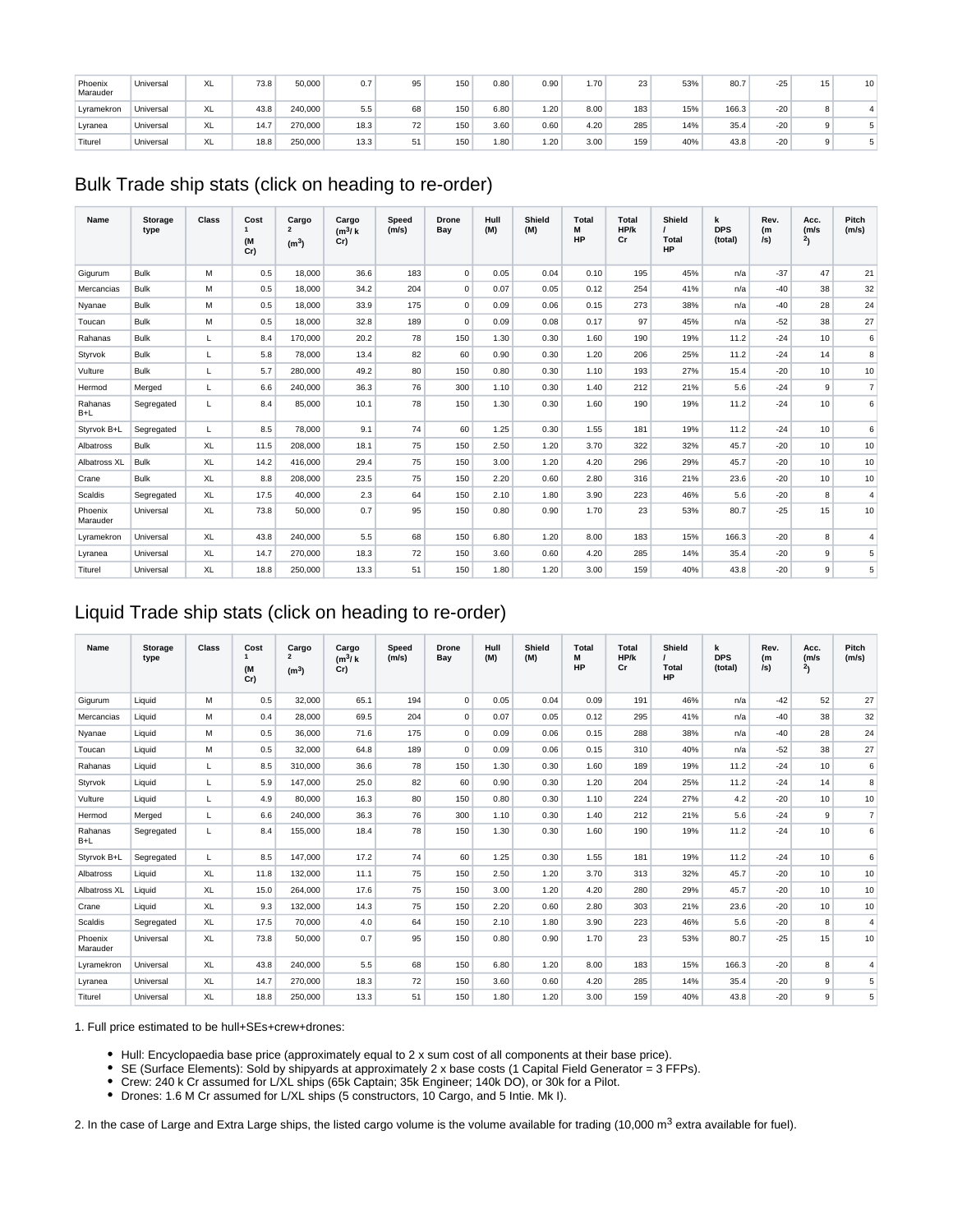| Phoenix<br>Marauder | Universal | XL | 73.8 | 50,000  | 0.7  | 95              | 150 | 0.80 | 0.90 | 1.70 | 23  | 53% | 80.7  | $-25$ | 15 <sub>1</sub> | 10 |
|---------------------|-----------|----|------|---------|------|-----------------|-----|------|------|------|-----|-----|-------|-------|-----------------|----|
| Lyramekron          | Universal | XL | 43.8 | 240,000 | 5.5  | 68              | 150 | 6.80 | 1.20 | 8.00 | 183 | 15% | 166.3 | $-20$ | 8               |    |
| Lyranea             | Universal | XL | 14.7 | 270,000 | 18.3 | 72 <sub>1</sub> | 150 | 3.60 | 0.60 | 4.20 | 285 | 14% | 35.4  | $-20$ | $\Omega$        |    |
| Titurel             | Universal | XL | 18.8 | 250,000 | 13.3 | 51              | 150 | 1.80 | 1.20 | 3.00 | 159 | 40% | 43.8  | $-20$ | $\Omega$        |    |

# Bulk Trade ship stats (click on heading to re-order)

| Name                | <b>Storage</b><br>type | <b>Class</b> | Cost<br>$\mathbf{1}$<br>(M<br>Cr) | Cargo<br>$\overline{2}$<br>(m <sup>3</sup> ) | Cargo<br>$(m^3)$ k<br>Cr) | <b>Speed</b><br>(m/s) | <b>Drone</b><br>Bay | Hull<br>(M) | Shield<br>(M) | <b>Total</b><br>М<br>HP | Total<br>HP/k<br>Cr | Shield<br>Total<br><b>HP</b> | k<br><b>DPS</b><br>(total) | Rev.<br>(m)<br>/s) | Acc.<br>(m/s)<br>2 <sub>1</sub> | Pitch<br>(m/s) |
|---------------------|------------------------|--------------|-----------------------------------|----------------------------------------------|---------------------------|-----------------------|---------------------|-------------|---------------|-------------------------|---------------------|------------------------------|----------------------------|--------------------|---------------------------------|----------------|
| Gigurum             | Bulk                   | M            | 0.5                               | 18,000                                       | 36.6                      | 183                   | $\mathbf 0$         | 0.05        | 0.04          | 0.10                    | 195                 | 45%                          | n/a                        | $-37$              | 47                              | 21             |
| Mercancias          | Bulk                   | м            | 0.5                               | 18,000                                       | 34.2                      | 204                   | $\mathbf 0$         | 0.07        | 0.05          | 0.12                    | 254                 | 41%                          | n/a                        | $-40$              | 38                              | 32             |
| Nyanae              | Bulk                   | M            | 0.5                               | 18,000                                       | 33.9                      | 175                   | $\mathbf 0$         | 0.09        | 0.06          | 0.15                    | 273                 | 38%                          | n/a                        | $-40$              | 28                              | 24             |
| Toucan              | Bulk                   | M            | 0.5                               | 18,000                                       | 32.8                      | 189                   | 0                   | 0.09        | 0.08          | 0.17                    | 97                  | 45%                          | n/a                        | $-52$              | 38                              | 27             |
| Rahanas             | Bulk                   | L            | 8.4                               | 170.000                                      | 20.2                      | 78                    | 150                 | 1.30        | 0.30          | 1.60                    | 190                 | 19%                          | 11.2                       | $-24$              | 10                              | 6              |
| Styrvok             | Bulk                   | L            | 5.8                               | 78,000                                       | 13.4                      | 82                    | 60                  | 0.90        | 0.30          | 1.20                    | 206                 | 25%                          | 11.2                       | $-24$              | 14                              | 8              |
| Vulture             | Bulk                   | L            | 5.7                               | 280,000                                      | 49.2                      | 80                    | 150                 | 0.80        | 0.30          | 1.10                    | 193                 | 27%                          | 15.4                       | $-20$              | 10                              | 10             |
| Hermod              | Merged                 | L            | 6.6                               | 240,000                                      | 36.3                      | 76                    | 300                 | 1.10        | 0.30          | 1.40                    | 212                 | 21%                          | 5.6                        | $-24$              | 9                               | $\overline{7}$ |
| Rahanas<br>$B+L$    | Segregated             | L            | 8.4                               | 85,000                                       | 10.1                      | 78                    | 150                 | 1.30        | 0.30          | 1.60                    | 190                 | 19%                          | 11.2                       | $-24$              | 10                              | 6              |
| Styrvok B+L         | Segregated             | L            | 8.5                               | 78,000                                       | 9.1                       | 74                    | 60                  | 1.25        | 0.30          | 1.55                    | 181                 | 19%                          | 11.2                       | $-24$              | 10                              | 6              |
| Albatross           | Bulk                   | XL           | 11.5                              | 208,000                                      | 18.1                      | 75                    | 150                 | 2.50        | 1.20          | 3.70                    | 322                 | 32%                          | 45.7                       | $-20$              | 10                              | 10             |
| Albatross XL        | Bulk                   | XL           | 14.2                              | 416,000                                      | 29.4                      | 75                    | 150                 | 3.00        | 1.20          | 4.20                    | 296                 | 29%                          | 45.7                       | $-20$              | 10                              | 10             |
| Crane               | Bulk                   | XL           | 8.8                               | 208.000                                      | 23.5                      | 75                    | 150                 | 2.20        | 0.60          | 2.80                    | 316                 | 21%                          | 23.6                       | $-20$              | 10                              | 10             |
| Scaldis             | Segregated             | XL           | 17.5                              | 40,000                                       | 2.3                       | 64                    | 150                 | 2.10        | 1.80          | 3.90                    | 223                 | 46%                          | 5.6                        | $-20$              | 8                               | $\overline{4}$ |
| Phoenix<br>Marauder | Universal              | XL           | 73.8                              | 50,000                                       | 0.7                       | 95                    | 150                 | 0.80        | 0.90          | 1.70                    | 23                  | 53%                          | 80.7                       | $-25$              | 15                              | 10             |
| Lyramekron          | Universal              | <b>XL</b>    | 43.8                              | 240.000                                      | 5.5                       | 68                    | 150                 | 6.80        | 1.20          | 8.00                    | 183                 | 15%                          | 166.3                      | $-20$              | 8                               | $\overline{4}$ |
| Lyranea             | Universal              | XL           | 14.7                              | 270,000                                      | 18.3                      | 72                    | 150                 | 3.60        | 0.60          | 4.20                    | 285                 | 14%                          | 35.4                       | $-20$              | 9                               | 5              |
| Titurel             | Universal              | <b>XL</b>    | 18.8                              | 250,000                                      | 13.3                      | 51                    | 150                 | 1.80        | 1.20          | 3.00                    | 159                 | 40%                          | 43.8                       | $-20$              | 9                               | 5              |

# Liquid Trade ship stats (click on heading to re-order)

| Name                | <b>Storage</b><br>type | Class     | Cost<br>$\mathbf{1}$<br>(M<br>Cr) | Cargo<br>$\overline{2}$<br>(m <sup>3</sup> ) | Cargo<br>(m <sup>3</sup> /k)<br>Cr) | <b>Speed</b><br>(m/s) | <b>Drone</b><br>Bay | Hull<br>(M) | Shield<br>(M) | <b>Total</b><br>M<br><b>HP</b> | <b>Total</b><br>HP/k<br>Cr | Shield<br><b>Total</b><br><b>HP</b> | k<br><b>DPS</b><br>(total) | Rev.<br>(m<br>/s) | Acc.<br>(m/s)<br>$^{2}$ | Pitch<br>(m/s) |
|---------------------|------------------------|-----------|-----------------------------------|----------------------------------------------|-------------------------------------|-----------------------|---------------------|-------------|---------------|--------------------------------|----------------------------|-------------------------------------|----------------------------|-------------------|-------------------------|----------------|
| Gigurum             | Liquid                 | M         | 0.5                               | 32,000                                       | 65.1                                | 194                   | $\mathbf 0$         | 0.05        | 0.04          | 0.09                           | 191                        | 46%                                 | n/a                        | $-42$             | 52                      | 27             |
| Mercancias          | Liquid                 | м         | 0.4                               | 28,000                                       | 69.5                                | 204                   | $\mathsf 0$         | 0.07        | 0.05          | 0.12                           | 295                        | 41%                                 | n/a                        | $-40$             | 38                      | 32             |
| Nyanae              | Liquid                 | M         | 0.5                               | 36,000                                       | 71.6                                | 175                   | $\mathbf 0$         | 0.09        | 0.06          | 0.15                           | 288                        | 38%                                 | n/a                        | $-40$             | 28                      | 24             |
| Toucan              | Liquid                 | М         | 0.5                               | 32,000                                       | 64.8                                | 189                   | $\mathbf 0$         | 0.09        | 0.06          | 0.15                           | 310                        | 40%                                 | n/a                        | $-52$             | 38                      | 27             |
| Rahanas             | Liquid                 | L         | 8.5                               | 310.000                                      | 36.6                                | 78                    | 150                 | 1.30        | 0.30          | 1.60                           | 189                        | 19%                                 | 11.2                       | $-24$             | 10                      | 6              |
| Styrvok             | Liquid                 | L         | 5.9                               | 147.000                                      | 25.0                                | 82                    | 60                  | 0.90        | 0.30          | 1.20                           | 204                        | 25%                                 | 11.2                       | $-24$             | 14                      | 8              |
| Vulture             | Liquid                 | L         | 4.9                               | 80,000                                       | 16.3                                | 80                    | 150                 | 0.80        | 0.30          | 1.10                           | 224                        | 27%                                 | 4.2                        | $-20$             | 10                      | 10             |
| Hermod              | Merged                 | L         | 6.6                               | 240.000                                      | 36.3                                | 76                    | 300                 | 1.10        | 0.30          | 1.40                           | 212                        | 21%                                 | 5.6                        | $-24$             | 9                       | $\overline{7}$ |
| Rahanas<br>$B+L$    | Segregated             | L         | 8.4                               | 155,000                                      | 18.4                                | 78                    | 150                 | 1.30        | 0.30          | 1.60                           | 190                        | 19%                                 | 11.2                       | $-24$             | 10                      | 6              |
| Styrvok B+L         | Segregated             | L         | 8.5                               | 147.000                                      | 17.2                                | 74                    | 60                  | 1.25        | 0.30          | 1.55                           | 181                        | 19%                                 | 11.2                       | $-24$             | 10                      | 6              |
| Albatross           | Liquid                 | XL        | 11.8                              | 132,000                                      | 11.1                                | 75                    | 150                 | 2.50        | 1.20          | 3.70                           | 313                        | 32%                                 | 45.7                       | $-20$             | 10                      | 10             |
| Albatross XL        | Liquid                 | XL        | 15.0                              | 264.000                                      | 17.6                                | 75                    | 150                 | 3.00        | 1.20          | 4.20                           | 280                        | 29%                                 | 45.7                       | $-20$             | 10                      | 10             |
| Crane               | Liquid                 | XL        | 9.3                               | 132.000                                      | 14.3                                | 75                    | 150                 | 2.20        | 0.60          | 2.80                           | 303                        | 21%                                 | 23.6                       | $-20$             | 10                      | 10             |
| Scaldis             | Segregated             | <b>XL</b> | 17.5                              | 70,000                                       | 4.0                                 | 64                    | 150                 | 2.10        | 1.80          | 3.90                           | 223                        | 46%                                 | 5.6                        | $-20$             | 8                       | $\overline{4}$ |
| Phoenix<br>Marauder | Universal              | XL        | 73.8                              | 50,000                                       | 0.7                                 | 95                    | 150                 | 0.80        | 0.90          | 1.70                           | 23                         | 53%                                 | 80.7                       | $-25$             | 15                      | 10             |
| Lyramekron          | Universal              | XL        | 43.8                              | 240.000                                      | 5.5                                 | 68                    | 150                 | 6.80        | 1.20          | 8.00                           | 183                        | 15%                                 | 166.3                      | $-20$             | 8                       | $\overline{4}$ |
| Lyranea             | Universal              | XL        | 14.7                              | 270,000                                      | 18.3                                | 72                    | 150                 | 3.60        | 0.60          | 4.20                           | 285                        | 14%                                 | 35.4                       | $-20$             | 9                       | 5              |
| Titurel             | Universal              | XL        | 18.8                              | 250,000                                      | 13.3                                | 51                    | 150                 | 1.80        | 1.20          | 3.00                           | 159                        | 40%                                 | 43.8                       | $-20$             | 9                       | 5              |

1. Full price estimated to be hull+SEs+crew+drones:

- Hull: Encyclopaedia base price (approximately equal to 2 x sum cost of all components at their base price).
- SE (Surface Elements): Sold by shipyards at approximately 2 x base costs (1 Capital Field Generator = 3 FFPs).
- Crew: 240 k Cr assumed for L/XL ships (65k Captain; 35k Engineer; 140k DO), or 30k for a Pilot.
- Drones: 1.6 M Cr assumed for L/XL ships (5 constructors, 10 Cargo, and 5 Intie. Mk I).

2. In the case of Large and Extra Large ships, the listed cargo volume is the volume available for trading (10,000  $\text{m}^3$  extra available for fuel).